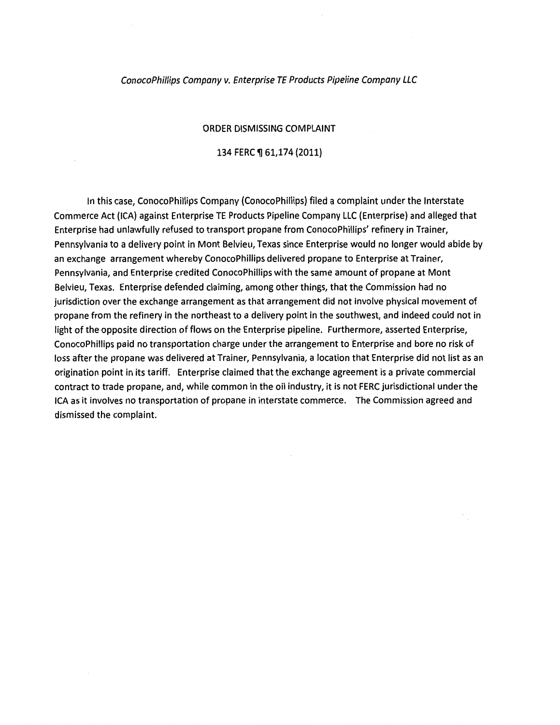### ConocoPhiflips Company v. Enterprise TE Products Pipeline Company LLC

### ORDER DISMISSING COMPLAINT

### 134 FERC ¶ 61,174 (2011)

In this case, ConocoPhillips Company (ConocoPhillips) filed a complaint under the Interstate Commerce Act (ICA) against Enterprise TE Products Pipeline Company LLC (Enterprise) and alleged that Enterprise had unlawfully refused to transport propane from ConocoPhillips' refinery in Trainer, Pennsylvania to a delivery point in Mont Belvieu, Texas since Enterprise would no longer would abide by an exchange arrangement whereby ConocoPhillips delivered propane to Enterprise at Trainer, Pennsylvania, and Enterprise credited ConocoPhillips with the same amount of propane at Mont Belvieu, Texas. Enterprise defended claiming, among other things, that the Commission had no jurisdiction over the exchange arrangement as that arrangement did not involve physical movement of propane from the refinery in the northeast to a delivery point in the southwest, and indeed could not in light of the opposite direction of flows on the Enterprise pipeline. Furthermore, asserted Enterprise, ConocoPhillips paid no transportation charge under the arrangement to Enterprise and bore no risk of loss after the propane was delivered at Trainer, Pennsylvania, a location that Enterprise did not list as an origination point in its tariff. Enterprise claimed that the exchange agreement is a private commercial contract to trade propane, and, while common in the oil industry, it is not FERC jurisdictional under the ICA as it involves no transportation of propane in interstate commerce. The Commission agreed and dismissed the complaint.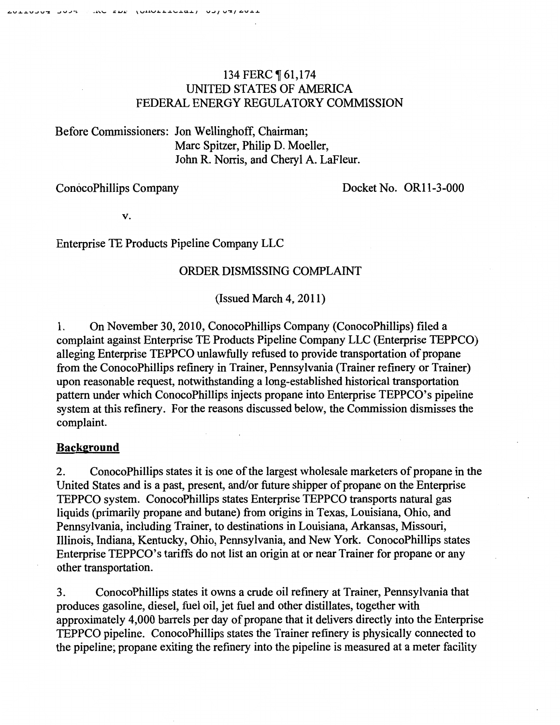# 134 FERC ¶ 61,174 UNITED STATES OF AMERICA FEDERAL ENERGY REGULATORY COMMISSION

Before Commissioners: Jon Wellinghoff, Chairman; Marc Spitzer, Philip D. Moeller, John R. Norris, and Cheryl A. LaFleur.

ConocoPhillips Company Docket No. ORII-3-000

v.

Enterprise TE Products Pipeline Company LLC

## ORDER DISMISSING COMPLAINT

 $(Issued March 4, 2011)$ 

I. On November 30, 20IO, ConocoPhillips Company (ConocoPhillips) filed a complaint against Enterprise TE Products Pipeline Company LLC (Enterprise TEPPCO) alleging Enterprise TEPPCO unlawfully refused to provide transportation of propane from the ConocoPhillips refinery in Trainer, Pennsylvania (Trainer refinery or Trainer) upon reasonable request, notwithstanding a long-established historical transportation pattern under which ConocoPhillips injects propane into Enterprise TEPPCO's pipeline system at this refinery. For the reasons discussed below, the Commission dismisses the complaint.

## **Background**

2. ConocoPhillips states it is one of the largest wholesale marketers of propane in the United States and is a past, present, and/or future shipper of propane on the Enterprise TEPPCO system. ConocoPhillips states Enterprise TEPPCO transports natural gas liquids (primarily propane and butane) from origins in Texas, Louisiana, Ohio, and Pennsylvania, including Trainer, to destinations in Louisiana, Arkansas, Missouri, Illinois, Indiana, Kentucky, Ohio, Pennsylvania, and New York. ConocoPhillips states Enterprise TEPPCO's tariffs do not list an origin at or near Trainer for propane or any other transportation.

3. ConocoPhillips states it owns a crude oil refinery at Trainer, Pennsylvania that produces gasoline, diesel, fuel oil, jet fuel and other distillates, together with approximately 4,000 barrels per day of propane that it delivers directly into the Enterprise TEPPCO pipeline. ConocoPhillips states the Trainer refinery is physically connected to the pipeline; propane exiting the refinery into the pipeline is measured at a meter facility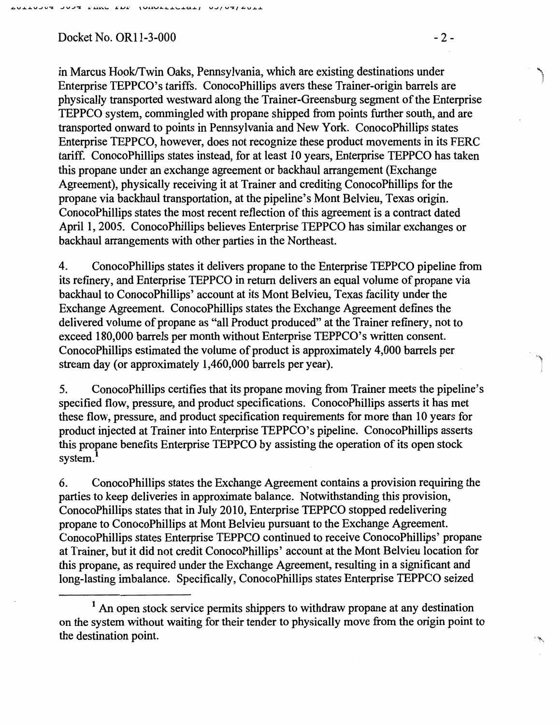Docket No. OR11-3-000 -2-

in Marcus Hook/Twin Oaks, Pennsylvania, which are existing destinations under Enterprise TEPPCO's tariffs. ConocoPhillips avers these Trainer-origin barrels are physically transported westward along the Trainer-Greensburg segment of the Enterprise TEPPCO system, commingled with propane shipped from points further south, and are transported onward to points in Pennsylvania and New York. ConocoPhillips states Enterprise TEPPCO, however, does not recognize these product movements in its FERC tariff. ConocoPhillips states instead, for at least 10 years, Enterprise TEPPCO has taken this propane under an exchange agreement or backhaul arrangement (Exchange Agreement), physically receiving it at Trainer and crediting ConocoPhillips for the propane via backhaul transportation, at the pipeline's Mont Belvieu, Texas origin. ConocoPhillips states the most recent reflection of this agreement is a contract dated April I, 2005. ConocoPhillips believes Enterprise TEPPCO has similar exchanges or backhaul arrangements with other parties in the Northeast.

4. ConocoPhillips states it delivers propane to the Enterprise TEPPCO pipeline from its refinery, and Enterprise TEPPCO in return delivers an equal volume of propane via backhaul to ConocoPhillips' account at its Mont Belvieu, Texas facility under the Exchange Agreement. ConocoPhillips states the Exchange Agreement defines the delivered volume of propane as "all Product produced" at the Trainer refinery, not to exceed 180,000 barrels per month without Enterprise TEPPCO's written consent. ConocoPhillips estimated the volume of product is approximately 4,000 barrels per stream day (or approximately  $1,460,000$  barrels per year).

5. ConocoPhillips certifies that its propane moving from Trainer meets the pipeline's specified flow, pressure, and product specifications. ConocoPhillips asserts it has met these flow, pressure, and product specification requirements for more than 10 years for product injected at Trainer into Enterprise TEPPCO's pipeline. ConocoPhillips asserts this propane benefits Enterprise TEPPCO by assisting the operation of its open stock system.

6. ConocoPhillips states the Exchange Agreement contains a provision requiring the parties to keep deliveries in approximate balance. Notwithstanding this provision, ConocoPhillips states that in July 2010, Enterprise TEPPCO stopped redelivering propane to ConocoPhillips at Mont Belvieu pursuant to the Exchange Agreement. ConocoPhillips states Enterprise TEPPCO continued to receive ConocoPhillips' propane at Trainer, but it did not credit ConocoPhillips' account at the Mont Belvieu location for this propane, as required under the Exchange Agreement, resulting in a significant and long-lasting imbalance. Specifically, ConocoPhillips states Enterprise TEPPCO seized

<sup>&</sup>lt;sup>1</sup> An open stock service permits shippers to withdraw propane at any destination on the system without waiting for their tender to physically move from the origin point to the destination point.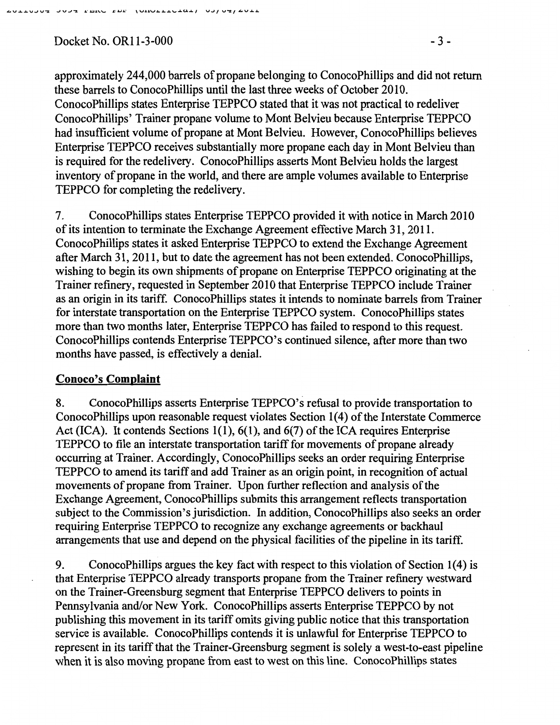Docket No. OR11-3-000 - 3 -

approximately 244,000 barrels of propane belonging to ConocoPhillips and did not return these barrels to ConocoPhillips until the last three weeks of October 2010. ConocoPhillips states Enterprise TEPPCO stated that it was not practical to redeliver ConocoPhillips' Trainer propane volume to Mont Belvieu because Enterprise TEPPCO had insufficient volume of propane at Mont Belvieu. However, ConocoPhillips believes Enterprise TEPPCO receives substantially more propane each day in Mont Belvieu than is required for the redelivery. ConocoPhillips asserts Mont Belvieu holds the largest inventory of propane in the world, and there are ample volumes available to Enterprise TEPPCO for completing the redelivery.

7. ConocoPhillips states Enterprise TEPPCO provided it with notice in March 2010 of its intention to terminate the Exchange Agreement effective March 31, 2011. ConocoPhillips states it asked Enterprise TEPPCO to extend the Exchange Agreement after March 31,2011, but to date the agreement has not been extended. ConocoPhillips, wishing to begin its own shipments of propane on Enterprise TEPPCO originating at the Trainer refinery, requested in September 2010 that Enterprise TEPPCO include Trainer as an origin in its tariff. ConocoPhillips states it intends to nominate barrels from Trainer for interstate transportation on the Enterprise TEPPCO system. ConocoPhillips states more than two months later, Enterprise TEPPCO has failed to respond to this request. ConocoPhillips contends Enterprise TEPPCO's continued silence, after more than two months have passed, is effectively a denial.

## Conoco's Complaint

8. ConocoPhillips asserts Enterprise TEPPCO's refusal to provide transportation to ConocoPhillips upon reasonable request violates Section 1(4) of the Interstate Commerce Act (ICA). It contends Sections 1(1),  $6(1)$ , and  $6(7)$  of the ICA requires Enterprise TEPPCO to file an interstate transportation tariff for movements of propane already occurring at Trainer. Accordingly, ConocoPhillips seeks an order requiring Enterprise TEPPCO to amend its tariff and add Trainer as an origin point, in recognition of actual movements of propane from Trainer. Upon further reflection and analysis of the Exchange Agreement, ConocoPhillips submits this arrangement reflects transportation subject to the Commission's jurisdiction. In addition, ConocoPhillips also seeks an order requiring Enterprise TEPPCO to recognize any exchange agreements or backhaul arrangements that use and depend on the physical facilities of the pipeline in its tariff.

9. ConocoPhillips argues the key fact with respect to this violation of Section 1(4) is that Enterprise TEPPCO already transports propane from the Trainer refinery westward on the Trainer-Greensburg segment that Enterprise TEPPCO delivers to points in Pennsylvania and/or New York. ConocoPhillips asserts Enterprise TEPPCO by not publishing this movement in its tariff omits giving public notice that this transportation service is available. ConocoPhillips contends it is unlawful for Enterprise TEPPCO to represent in its tariff that the Trainer-Greensburg segment is solely a west-to-east pipeline when it is also moving propane from east to west on this line. ConocoPhillips states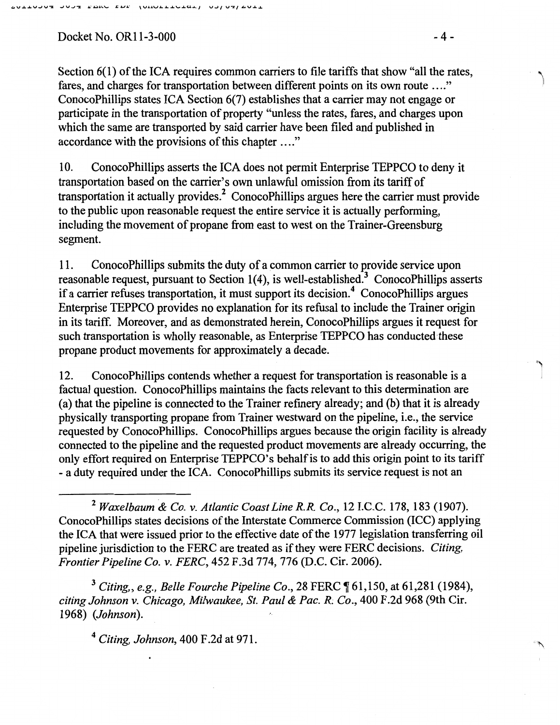Docket No. OR11-3-000 - 4 -

Section 6(1) of the ICA requires common carriers to file tariffs that show "all the rates, fares, and charges for transportation between different points on its own route .... " ConocoPhillips states ICA Section 6(7) establishes that a carrier may not engage or participate in the transportation of property "unless the rates, fares, and charges upon which the same are transported by said carrier have been filed and published in accordance with the provisions of this chapter ...."

10. ConocoPhillips asserts the ICA does not permit Enterprise TEPPCO to deny it transportation based on the carrier's own unlawful omission from its tariff of transportation it actually provides. 2 ConocoPhillips argues here the carrier must provide to the public upon reasonable request the entire service it is actually performing, including the movement of propane from east to west on the Trainer-Greensburg segment.

11. ConocoPhillips submits the duty of a common carrier to provide service upon reasonable request, pursuant to Section  $1(4)$ , is well-established.<sup>3</sup> ConocoPhillips asserts if a carrier refuses transportation, it must support its decision. 4 ConocoPhillips argues Enterprise TEPPCO provides no explanation for its refusal to include the Trainer origin in its tariff. Moreover, and as demonstrated herein, ConocoPhillips argues it request for such transportation is wholly reasonable, as Enterprise TEPPCO has conducted these propane product movements for approximately a decade.

12. ConocoPhillips contends whether a request for transportation is reasonable is a factual question. ConocoPhillips maintains the facts relevant to this determination are (a) that the pipeline is connected to the Trainer refinery already; and (b) that it is already physically transporting propane from Trainer westward on the pipeline, i.e., the service requested by ConocoPhillips. ConocoPhillips argues because the origin facility is already connected to the pipeline and the requested product movements are already occurring, the only effort required on Enterprise TEPPCO's behalf is to add this origin point to its tariff -a duty required under the ICA. ConocoPhillips submits its service request is not an

<sup>3</sup> Citing., e.g., Belle Fourche Pipeline Co., 28 FERC  $\P$  61,150, at 61,281 (1984), *citing Johnson v. Chicago, Milwaukee, St. Paul & Pac. R; Co.,* 400 F .2d 968 (9th Cir. 1968) *(Johnson).* 

<sup>4</sup> *Citing, Johnson,* 400 F.2d at 971.

<sup>2</sup>*Waxelbaum & Co. v. Atlantic Coast Line R.R. Co.,* 12 I.C.C. 178, 183 (1907). ConocoPhillips states decisions of the Interstate Commerce Commission (ICC) applying the ICA that were issued prior to the effective date of the 1977 legislation transferring oil pipeline jurisdiction to the FERC are treated as if they were FERC decisions. *Citing, Frontier Pipeline Co. v. FERC,* 452 F.3d 774, 776 (D.C. Cir. 2006).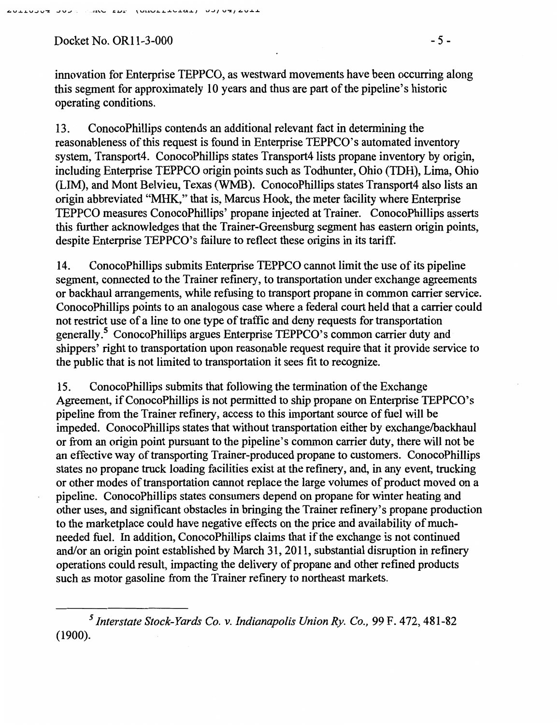Docket No. OR11-3-000 - 5 -

innovation for Enterprise TEPPCO, as westward movements have been occurring along this segment for approximately 10 years and thus are part of the pipeline's historic operating conditions.

13. ConocoPhillips contends an additional relevant fact in determining the reasonableness of this request is found in Enterprise TEPPCO's automated inventory system, Transport4. ConocoPhillips states Transport4 lists propane inventory by origin, including Enterprise TEPPCO origin points such as Todhunter, Ohio (TDH), Lima, Ohio (LIM), and Mont Belvieu, Texas (WMB). ConocoPhillips states Transport4 also lists an origin abbreviated "MHK," that is, Marcus Hook, the meter facility where Enterprise TEPPCO measures ConocoPhillips' propane injected at Trainer. ConocoPhillips asserts this further acknowledges that the Trainer-Greensburg segment has eastern origin points, despite Enterprise TEPPCO's failure to reflect these origins in its tariff.

14. ConocoPhillips submits Enterprise TEPPCO cannot limit the use of its pipeline segment, connected to the Trainer refinery, to transportation under exchange agreements or backhaul arrangements, while refusing to transport propane in common carrier service. ConocoPhillips points to an analogous case where a federal court held that a carrier could not restrict use of a line to one type of traffic and deny requests for transportation generally.5 ConocoPhillips argues Enterprise TEPPCO's common carrier duty and shippers' right to transportation upon reasonable request require that it provide service to the public that is not limited to transportation it sees fit to recognize.

15. ConocoPhillips submits that following the termination of the Exchange Agreement, ifConocoPhillips is not permitted to ship propane on Enterprise TEPPCO's pipeline from the Trainer refinery, access to this important source of fuel will be impeded. ConocoPhillips states that without transportation either by exchange/backhaul or from an origin point pursuant to the pipeline's common carrier duty, there will not be an effective way of transporting Trainer-produced propane to customers. ConocoPhillips states no propane truck loading facilities exist at the refinery, and, in any event, trucking or other modes of transportation cannot replace the large volumes of product moved on a pipeline. ConocoPhillips states consumers depend on propane for winter heating and other uses, and significant obstacles in bringing the Trainer refinery's propane production to the marketplace could have negative effects on the price and availability of muchneeded fuel. In addition, ConocoPhillips claims that if the exchange is not continued and/or an origin point established by March 31, 2011, substantial disruption in refinery operations could result, impacting the delivery of propane and other refined products such as motor gasoline from the Trainer refinery to northeast markets.

*<sup>5</sup> Interstate Stock-Yards Co. v. Indianapolis Union* Ry. *Co.,* 99 F. 472,481-82 (1900).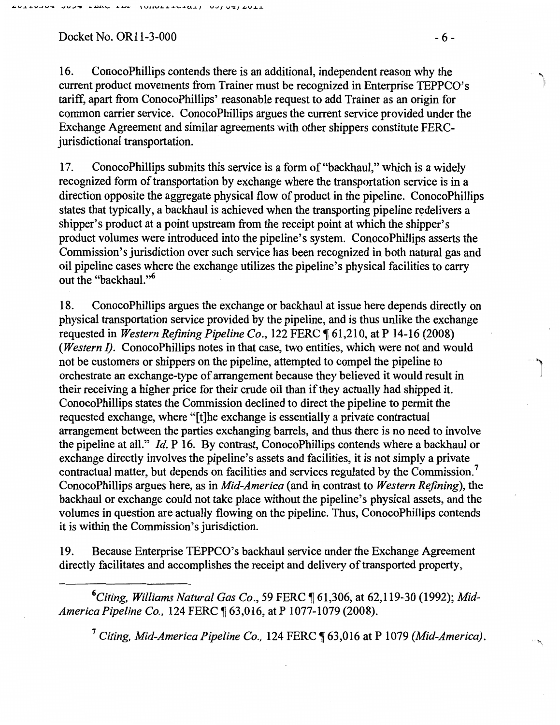Docket No. OR11-3-000 - 6 -

16. ConocoPhillips contends there is an additional, independent reason why the current product movements from Trainer must be recognized in Enterprise TEPPCO's tariff, apart from ConocoPhillips' reasonable request to add Trainer as an origin for common carrier service. ConocoPhillips argues the current service provided under the Exchange Agreement and similar agreements with other shippers constitute PERCjurisdictional transportation.

17. ConocoPhillips submits this service is a form of"backhaul," which is a widely recognized form of transportation by exchange where the transportation service is in a direction opposite the aggregate physical flow of product in the pipeline. ConocoPhillips states that typically, a backhaul is achieved when the transporting pipeline redelivers a shipper's product at a point upstream from the receipt point at which the shipper's product volumes were introduced into the pipeline's system. ConocoPhillips asserts the Commission's jurisdiction over such service has been recognized in both natural gas and oil pipeline cases where the exchange utilizes the pipeline's physical facilities to carry out the "backhaul."<sup>6</sup>

18. ConocoPhillips argues the exchange or backhaul at issue here depends directly on physical transportation service provided by the pipeline, and is thus unlike the exchange requested in *Western Refining Pipeline Co.*, 122 FERC ¶ 61,210, at P 14-16 (2008) *(Western I).* ConocoPhillips notes in that case, two entities, which were not and would not be customers or shippers on the pipeline, attempted to compel the pipeline to orchestrate an exchange-type of arrangement because they believed it would result in I their receiving a higher price for their crude oil than if they actually had shipped it. ConocoPhillips states the Commission declined to direct the pipeline to permit the requested exchange, where "[t]he exchange is essentially a private contractual arrangement between the parties exchanging barrels, and thus there is no need to involve the pipeline at all." *ld.* P 16. By contrast, ConocoPhillips contends where a backhaul or exchange directly involves the pipeline's assets and facilities, it is not simply a private contractual matter, but depends on facilities and services regulated by the Commission.<sup>7</sup> ConocoPhillips argues here, as in *Mid-America* (and in contrast to *Western Refining),* the backhaul or exchange could not take place without the pipeline's physical assets, and the volumes in question are actually flowing on the pipeline. Thus, ConocoPhillips contends it is within the Commission's jurisdiction.

19. Because Enterprise TEPPCO's backhaul service under the Exchange Agreement directly facilitates and accomplishes the receipt and delivery of transported property,

<sup>6</sup>Citing, Williams Natural Gas Co., 59 FERC ¶ 61,306, at 62,119-30 (1992); Mid-*America Pipeline Co., 124 FERC* 163,016, at P 1077-1079 (2008).

<sup>7</sup> Citing, Mid-America Pipeline Co., 124 FERC ¶ 63,016 at P 1079 (Mid-America).

"' ]!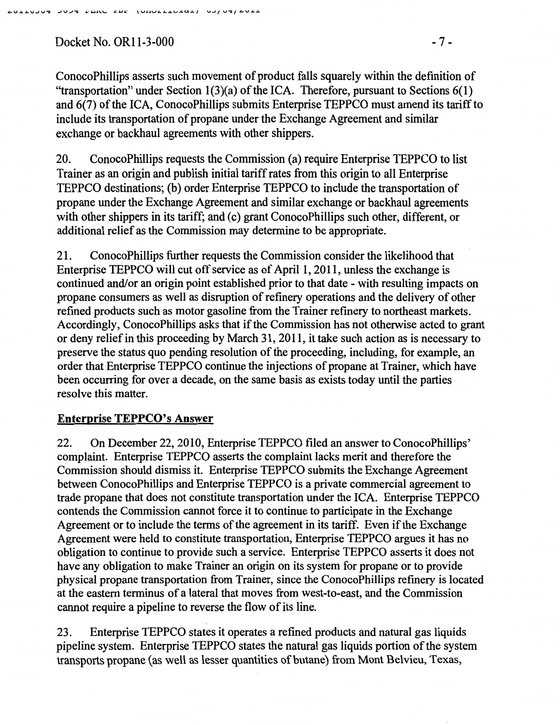Docket No. OR11-3-000 - 7 -

ConocoPhillips asserts such movement of product falls squarely within the definition of "transportation" under Section  $1(3)(a)$  of the ICA. Therefore, pursuant to Sections  $6(1)$ and 6(7) of the ICA, ConocoPhillips submits Enterprise TEPPCO must amend its tariff to include its transportation of propane under the Exchange Agreement and similar exchange or backhaul agreements with other shippers.

20. ConocoPhillips requests the Commission (a) require Enterprise TEPPCO to list Trainer as an origin and publish initial tariff rates from this origin to all Enterprise TEPPCO destinations; (b) order Enterprise TEPPCO to include the transportation of propane under the Exchange Agreement and similar exchange or backhaul agreements with other shippers in its tariff; and (c) grant ConocoPhillips such other, different, or additional relief as the Commission may determine to be appropriate.

21. ConocoPhillips further requests the Commission consider the likelihood that Enterprise TEPPCO will cut off service as of April 1, 2011, unless the exchange is continued and/or an origin point established prior to that date- with resulting impacts on propane consumers as well as disruption of refinery operations and the delivery of other refined products such as motor gasoline from the Trainer refinery to northeast markets. Accordingly, ConocoPhillips asks that if the Commission has not otherwise acted to grant or deny relief in this proceeding by March 31, 2011, it take such action as is necessary to preserve the status quo pending resolution of the proceeding, including, for example, an order that Enterprise TEPPCO continue the injections of propane at Trainer, which have been occurring for over a decade, on the same basis as exists today until the parties resolve this matter.

# Enterprise TEPPCO's Answer

22. On December 22,2010, Enterprise TEPPCO filed an answer to ConocoPhillips' complaint. Enterprise TEPPCO asserts the complaint lacks merit and therefore the Commission should dismiss it. Enterprise TEPPCO submits the Exchange Agreement between ConocoPhillips and Enterprise TEPPCO is a private commercial agreement to trade propane that does not constitute transportation under the ICA. Enterprise TEPPCO contends the Commission cannot force it to continue to participate in the Exchange Agreement or to include the terms of the agreement in its tariff. Even if the Exchange Agreement were held to constitute transportation, Enterprise TEPPCO argues it has no obligation to continue to provide such a service. Enterprise TEPPCO asserts it does not have any obligation to make Trainer an origin on its system for propane or to provide physical propane transportation from Trainer, since the ConocoPhillips refmery is located at the eastern terminus of a lateral that moves from west-to-east, and the Commission cannot require a pipeline to reverse the flow of its line.

23. Enterprise TEPPCO states it operates a refined products and natural gas liquids pipeline system. Enterprise TEPPCO states the natural gas liquids portion of the system transports propane (as well as lesser quantities of butane) from Mont Belvieu, Texas,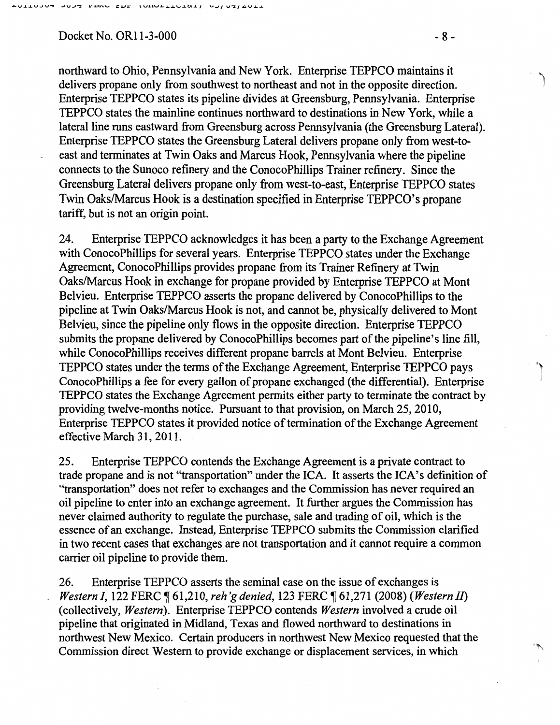Docket No. OR11-3-000 - 8 -

northward to Ohio, Pennsylvania and New York. Enterprise TEPPCO maintains it delivers propane only from southwest to northeast and not in the opposite direction. Enterprise TEPPCO states its pipeline divides at Greensburg, Pennsylvania. Enterprise TEPPCO states the mainline continues northward to destinations in New York, while a lateral line runs eastward from Greensburg across Pennsylvania (the Greensburg Lateral). Enterprise TEPPCO states the Greensburg Lateral delivers propane only from west-toeast and terminates at Twin Oaks and Marcus Hook, Pennsylvania where the pipeline connects to the Sunoco refinery and the ConocoPhillips Trainer refinery. Since the Greensburg Lateral delivers propane only from west-to-east, Enterprise TEPPCO states Twin Oaks/Marcus Hook is a destination specified in Enterprise TEPPCO's propane tariff, but is not an origin point.

24. Enterprise TEPPCO acknowledges it has been a party to the Exchange Agreement with ConocoPhillips for several years. Enterprise TEPPCO states under the Exchange Agreement, ConocoPhillips provides propane from its Trainer Refinery at Twin Oaks/Marcus Hook in exchange for propane provided by Enterprise TEPPCO at Mont Belvieu. Enterprise TEPPCO asserts the propane delivered by ConocoPhillips to the pipeline at Twin Oaks/Marcus Hook is not, and cannot be, physically delivered to Mont Belvieu, since the pipeline only flows in the opposite direction. Enterprise TEPPCO submits the propane delivered by ConocoPhillips becomes part of the pipeline's line fill, while ConocoPhillips receives different propane barrels at Mont Belvieu. Enterprise TEPPCO states under the terms of the Exchange Agreement, Enterprise TEPPCO pays "j ConocoPhillips a fee for every gallon of propane exchanged (the differential). Enterprise TEPPCO states the Exchange Agreement permits either party to terminate the contract by providing twelve-months notice. Pursuant to that provision, on March 25,2010, Enterprise TEPPCO states it provided notice of termination of the Exchange Agreement effective March 31, 2011.

25. Enterprise TEPPCO contends the Exchange Agreement is a private contract to trade propane and is not ''transportation" under the ICA. It asserts the ICA's definition of "transportation" does not refer to exchanges and the Commission has never required an oil pipeline to enter into an exchange agreement. It further argues the Commission has never claimed authority to regulate the purchase, sale and trading of oil, which is the essence of an exchange. Instead, Enterprise TEPPCO submits the Commission clarified in two recent cases that exchanges are not transportation and it cannot require a common carrier oil pipeline to provide them.

26. Enterprise TEPPCO asserts the seminal case on the issue of exchanges is *Western I, 122 FERC*  $\P$  61,210, *reh'g denied*, 123 FERC  $\P$  61,271 (2008) *(Western II)* (collectively, *Western).* Enterprise TEPPCO contends *Western* involved a crude oil pipeline that originated in Midland, Texas and flowed northward to destinations in northwest New Mexico. Certain producers in northwest New Mexico requested that the Commission direct Western to provide exchange or displacement services, in which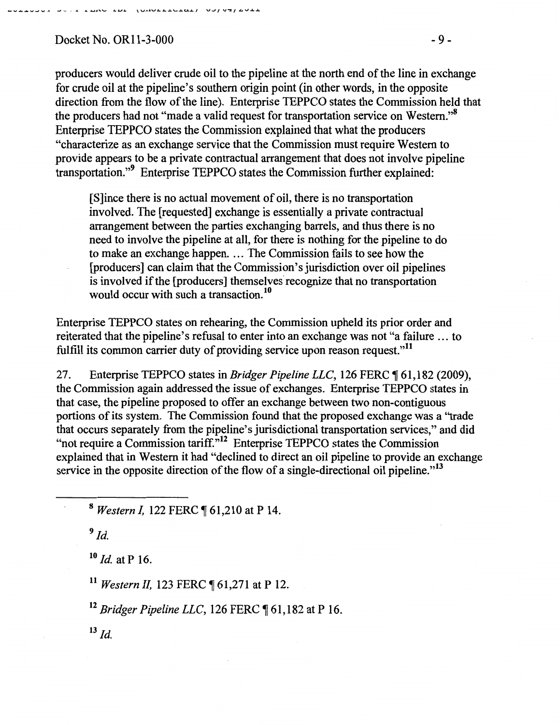$Docket No. OR11-3-000$  - 9 -

producers would deliver crude oil to the pipeline at the north end of the line in exchange for crude oil at the pipeline's southern origin point (in other words, in the opposite direction from the flow of the line). Enterprise TEPPCO states the Commission held that the producers had not "made a valid request for transportation service on Western."<sup>8</sup> Enterprise TEPPCO states the Commission explained that what the producers "characterize as an exchange service that the Commission must require Western to provide appears to be a private contractual arrangement that does not involve pipeline transportation."<sup>9</sup> Enterprise TEPPCO states the Commission further explained:

[S]ince there is no actual movement of oil, there is no transportation involved. The [requested] exchange is essentially a private contractual arrangement between the parties exchanging barrels, and thus there is no need to involve the pipeline at all, for there is nothing for the pipeline to do to make an exchange happen. ... The Commission fails to see how the [producers] can claim that the Commission's jurisdiction over oil pipelines is involved if the [producers] themselves recognize that no transportation would occur with such a transaction.<sup>10</sup>

Enterprise TEPPCO states on rehearing, the Commission upheld its prior order and reiterated that the pipeline's refusal to enter into an exchange was not "a failure ... to fulfill its common carrier duty of providing service upon reason request."<sup>11</sup>

27. Enterprise TEPPCO states in *Bridger Pipeline LLC*, 126 FERC ¶ 61,182 (2009), the Commission again addressed the issue of exchanges. Enterprise TEPPCO states in that case, the pipeline proposed to offer an exchange between two non-contiguous portions of its system. The Commission found that the proposed exchange was a "trade that occurs separately from the pipeline's jurisdictional transportation services," and did "not require a Commission tariff."<sup>12</sup> Enterprise TEPPCO states the Commission explained that in Western it had "declined to direct an oil pipeline to provide an exchange service in the opposite direction of the flow of a single-directional oil pipeline."<sup>13</sup>

<sup>8</sup> Western I, 122 FERC ¶ 61,210 at P 14.

 $9$  Id.

 $\overline{\phantom{a}}$ 

<sup>10</sup> *Id.* at P 16.

<sup>11</sup> Western II, 123 FERC ¶ 61,271 at P 12.

<sup>12</sup> Bridger Pipeline LLC, 126 FERC ¶ 61,182 at P 16.

 $^{13}$  *Id.*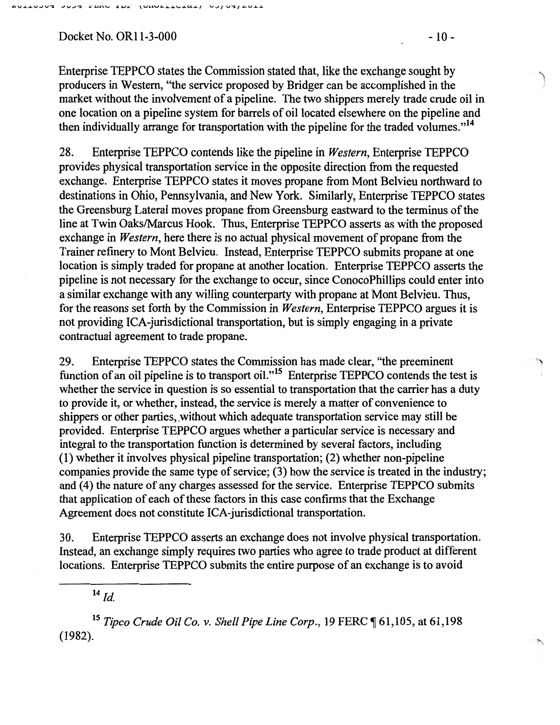Docket No. OR11-3-000 - 10 -

Enterprise TEPPCO states the Commission stated that, like the exchange sought by producers in Western, ''the service proposed by Bridger can be accomplished in the market without the involvement of a pipeline. The two shippers merely trade crude oil in one location on a pipeline system for barrels of oil located elsewhere on the pipeline and then individually arrange for transportation with the pipeline for the traded volumes."<sup>14</sup>

28. Enterprise TEPPCO contends like the pipeline in *Western,* Enterprise TEPPCO provides physical transportation service in the opposite direction from the requested exchange. Enterprise TEPPCO states it moves propane from Mont Belvieu northward to destinations in Ohio, Pennsylvania, and New York. Similarly, Enterprise TEPPCO states the Greensburg Lateral moves propane from Greensburg eastward to the terminus of the line at Twin Oaks/Marcus Hook. Thus, Enterprise TEPPCO asserts as with the proposed exchange in *Western,* here there is no actual physical movement of propane from the Trainer refinery to Mont Belvieu. Instead, Enterprise TEPPCO submits propane at one location is simply traded for propane at another location. Enterprise TEPPCO asserts the pipeline is not necessary for the exchange to occur, since ConocoPhillips could enter into a similar exchange with any willing counterparty with propane at Mont Belvieu. Thus, for the reasons set forth by the Commission in *Western,* Enterprise TEPPCO argues it is not providing ICA-jurisdictional transportation, but is simply engaging in a private contractual agreement to trade propane.

29. Enterprise TEPPCO states the Commission has made clear, "the preeminent function of an oil pipeline is to transport oil."<sup>15</sup> Enterprise TEPPCO contends the test is whether the service in question is so essential to transportation that the carrier has a duty to provide it, or whether, instead, the service is merely a matter of convenience to shippers or other parties, without which adequate transportation service may still be provided. Enterprise TEPPCO argues whether a particular service is necessary and integral to the transportation function is determined by several factors, including (1) whether it involves physical pipeline transportation; (2) whether non-pipeline companies provide the same type of service; (3) how the service is treated in the industry; and (4) the nature of any charges assessed for the service. Enterprise TEPPCO submits that application of each of these factors in this case confirms that the Exchange Agreement does not constitute ICA-jurisdictional transportation.

30. Enterprise TEPPCO asserts an exchange does not involve physical transportation. Instead, an exchange simply requires two parties who agree to trade product at different locations. Enterprise TEPPCO submits the entire purpose of an exchange is to avoid

 $14$   $Id$ 

<sup>15</sup> *Tipco Crude Oil Co. v. Shell Pipe Line Corp.*, 19 FERC ¶ 61,105, at 61,198 (1982).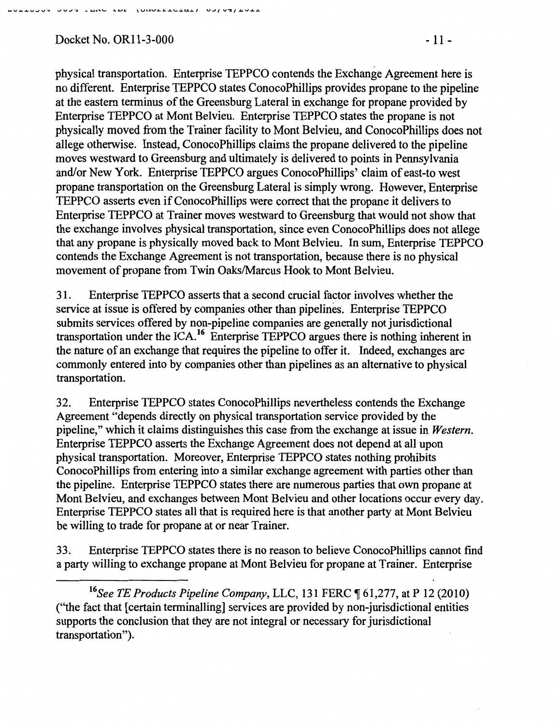#### nan rom the followard and alleart

## Docket No. OR11-3-000 - 11 -

physical transportation. Enterprise TEPPCO contends the Exchange Agreement here is no different. Enterprise TEPPCO states ConocoPhillips provides propane to the pipeline at the eastern terminus of the Greensburg Lateral in exchange for propane provided by Enterprise TEPPCO at Mont Belvieu. Enterprise TEPPCO states the propane is not physically moved from the Trainer facility to Mont Belvieu, and ConocoPhillips does not allege otherwise. Instead, ConocoPhillips claims the propane delivered to the pipeline moves westward to Greensburg and ultimately is delivered to points in Pennsylvania and/or New York. Enterprise TEPPCO argues ConocoPhillips' claim of east-to west propane transportation on the Greensburg Lateral is simply wrong. However, Enterprise TEPPCO asserts even if ConocoPhillips were correct that the propane it delivers to Enterprise TEPPCO at Trainer moves westward to Greensburg that would not show that the exchange involves physical transportation, since even ConocoPhillips does not allege that any propane is physically moved back to Mont Belvieu. In sum, Enterprise TEPPCO contends the Exchange Agreement is not transportation, because there is no physical movement of propane from Twin Oaks/Marcus Hook to Mont Belvieu.

31. Enterprise TEPPCO asserts that a second crucial factor involves whether the service at issue is offered by companies other than pipelines. Enterprise TEPPCO submits services offered by non-pipeline companies are generally not jurisdictional transportation under the ICA.16 Enterprise TEPPCO argues there is nothing inherent in the nature of an exchange that requires the pipeline to offer it. Indeed, exchanges are commonly entered into by companies other than pipelines as an alternative to physical transportation.

32. Enterprise TEPPCO states ConocoPhillips nevertheless contends the Exchange Agreement "depends directly on physical transportation service provided by the pipeline," which it claims distinguishes this case from the exchange at issue in *Western.*  Enterprise TEPPCO asserts the Exchange Agreement does not depend at all upon physical transportation. Moreover, Enterprise TEPPCO states nothing prohibits ConocoPhillips from entering into a similar exchange agreement with parties other than the pipeline. Enterprise TEPPCO states there are numerous parties that own propane at Mont Belvieu, and exchanges between Mont Belvieu and other locations occur every day. Enterprise TEPPCO states all that is required here is that another party at Mont Belvieu be willing to trade for propane at or near Trainer.

33. Enterprise TEPPCO states there is no reason to believe ConocoPhillips cannot fmd a party willing to exchange propane at Mont Belvieu for propane at Trainer. Enterprise

<sup>16</sup>See TE Products Pipeline Company, LLC, 131 FERC ¶ 61,277, at P 12 (2010) ("the fact that [certain terminalling] services are provided by non-jurisdictional entities supports the conclusion that they are not integral or necessary for jurisdictional transportation").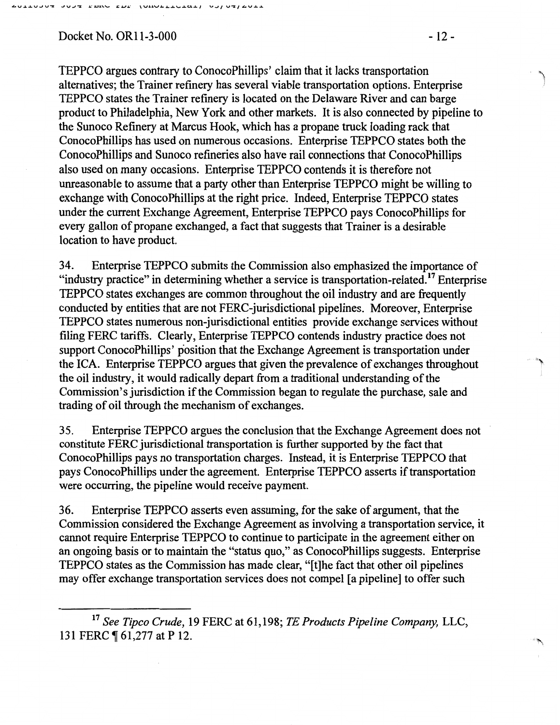Docket No. OR11-3-000 - 12 -

TEPPCO argues contrary to ConocoPhillips' claim that it lacks transportation alternatives; the Trainer refinery has several viable transportation options. Enterprise TEPPCO states the Trainer refinery is located on the Delaware River and can barge product to Philadelphia, New York and other markets. It is also connected by pipeline to the Sunoco Refmery at Marcus Hook, which has a propane truck loading rack that ConocoPhillips has used on numerous occasions. Enterprise TEPPCO states both the ConocoPhillips and Sunoco refineries also have rail connections that ConocoPhillips also used on many occasions. Enterprise TEPPCO contends it is therefore not unreasonable to assume that a party other than Enterprise TEPPCO might be willing to exchange with ConocoPhillips at the right price. Indeed, Enterprise TEPPCO states under the current Exchange Agreement, Enterprise TEPPCO pays ConocoPhillips for every gallon of propane exchanged, a fact that suggests that Trainer is a desirable location to have product.

34. Enterprise TEPPCO submits the Commission also emphasized the importance of "industry practice" in determining whether a service is transportation-related.<sup>17</sup> Enterprise TEPPCO states exchanges are common throughout the oil industry and are frequently conducted by entities that are not FERC-jurisdictional pipelines. Moreover, Enterprise TEPPCO states numerous non-jurisdictional entities provide exchange services without filing FERC tariffs. Clearly, Enterprise TEPPCO contends industry practice does not support ConocoPhillips' position that the Exchange Agreement is transportation under the ICA. Enterprise TEPPCO argues that given the prevalence of exchanges throughout the oil industry, it would radically depart from a traditional understanding of the Commission's jurisdiction if the Commission began to regulate the purchase, sale and trading of oil through the mechanism of exchanges.

35. Enterprise TEPPCO argues the conclusion that the Exchange Agreement does not constitute FERC jurisdictional transportation is further supported by the fact that ConocoPhillips pays no transportation charges. Instead, it is Enterprise TEPPCO that pays ConocoPhillips under the agreement. Enterprise TEPPCO asserts if transportation were occurring, the pipeline would receive payment.

36. Enterprise TEPPCO asserts even assuming, for the sake of argument, that the Commission considered the Exchange Agreement as involving a transportation service, it cannot require Enterprise TEPPCO to continue to participate in the agreement either on an ongoing basis or to maintain the "status quo," as ConocoPhillips suggests. Enterprise TEPPCO states as the Commission has made clear, "[t]he fact that other oil pipelines may offer exchange transportation services does not compel [a pipeline] to offer such

. "') ,I

,.,,,

<sup>17</sup>*See Tipco Crude,* 19 FERC at 61,198; *TE Products Pipeline Company,* LLC, 131 FERC ¶ 61,277 at P 12.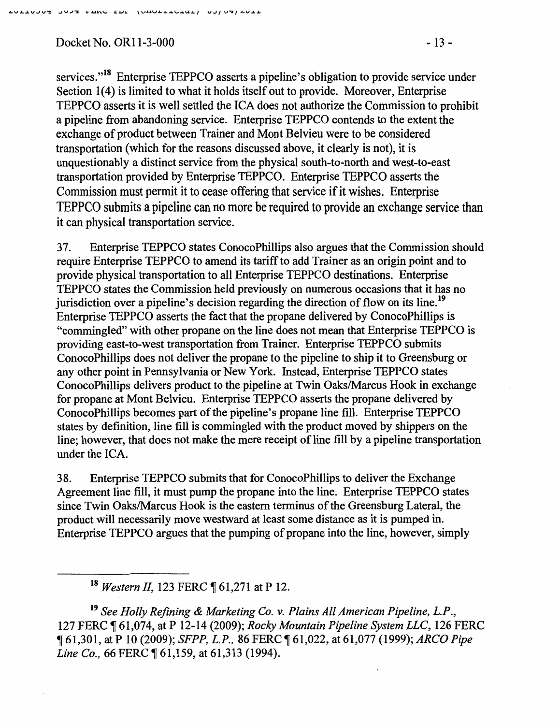Docket No. OR11-3-000 - 13 -

services."<sup>18</sup> Enterprise TEPPCO asserts a pipeline's obligation to provide service under Section 1(4) is limited to what it holds itself out to provide. Moreover, Enterprise TEPPCO asserts it is well settled the ICA does not authorize the Commission to prohibit a pipeline from abandoning service. Enterprise TEPPCO contends to the extent the exchange of product between Trainer and Mont Belvieu were to be considered transportation (which for the reasons discussed above, it clearly is not), it is unquestionably a distinct service from the physical south-to-north and west-to-east transportation provided by Enterprise TEPPCO. Enterprise TEPPCO asserts the Commission must permit it to cease offering that service if it wishes. Enterprise TEPPCO submits a pipeline can no more be required to provide an exchange service than it can physical transportation service.

3 7. Enterprise TEPPCO states ConocoPhillips also argues that the Commission should require Enterprise TEPPCO to amend its tariff to add Trainer as an origin point and to provide physical transportation to all Enterprise TEPPCO destinations. Enterprise TEPPCO states the Commission held previously on numerous occasions that it has no jurisdiction over a pipeline's decision regarding the direction of flow on its line.<sup>19</sup> Enterprise TEPPCO asserts the fact that the propane delivered by ConocoPhillips is "commingled" with other propane on the line does not mean that Enterprise TEPPCO is providing east-to-west transportation from Trainer. Enterprise TEPPCO submits ConocoPhillips does not deliver the propane to the pipeline to ship it to Greensburg or any other point in Pennsylvania or New York. Instead, Enterprise TEPPCO states ConocoPhillips delivers product to the pipeline at Twin Oaks/Marcus Hook in exchange for propane at Mont Belvieu. Enterprise TEPPCO asserts the propane delivered by ConocoPhillips becomes part of the pipeline's propane line fill. Enterprise TEPPCO states by definition, line fill is commingled with the product moved by shippers on the line; however, that does not make the mere receipt of line fill by a pipeline transportation under the ICA.

38. Enterprise TEPPCO submits that for ConocoPhillips to deliver the Exchange Agreement line fill, it must pump the propane into the line. Enterprise TEPPCO states since Twin Oaks/Marcus Hook is the eastern terminus of the Greensburg Lateral, the product will necessarily move westward at least some distance as it is pumped in. Enterprise TEPPCO argues that the pumping of propane into the line, however, simply

<sup>18</sup> Western II, 123 FERC ¶ 61,271 at P 12.

<sup>19</sup>*See Holly Refining* & *Marketing Co. v. Plains All American Pipeline, L.P.,*  127 FERC ~ 61,074, at P 12-14 (2009); *Rocky Mountain Pipeline System LLC,* 126 FERC <sup>~</sup>61,301, at P 10 (2009); *SFPP, L.P.,* 86 FERC ~ 61,022, at 61,077 (1999); *ARCO Pipe Line Co.,* 66 FERC  $\sqrt{61,159}$ , at 61,313 (1994).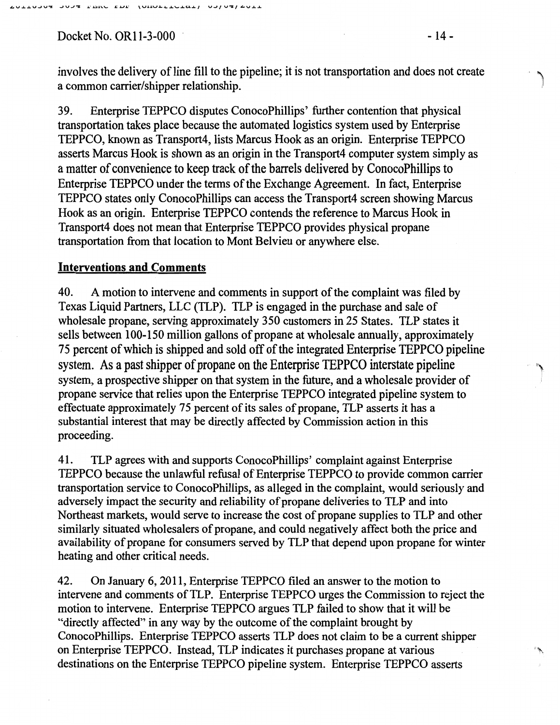Docket No. OR11-3-000 **· 14 -** 14 -

involves the delivery of line fill to the pipeline; it is not transportation and does not create a common carrier/shipper relationship.

39. Enterprise TEPPCO disputes ConocoPhillips' further contention that physical transportation takes place because the automated logistics system used by Enterprise TEPPCO, known as Transport4, lists Marcus Hook as an origin. Enterprise TEPPCO asserts Marcus Hook is shown as an origin in the Transport4 computer system simply as a matter of convenience to keep track of the barrels delivered by ConocoPhillips to Enterprise TEPPCO under the terms of the Exchange Agreement. In fact, Enterprise TEPPCO states only ConocoPhillips can access the Transport4 screen showing Marcus Hook as an origin. Enterprise TEPPCO contends the reference to Marcus Hook in Transport4 does not mean that Enterprise TEPPCO provides physical propane transportation from that location to Mont Belvieu or anywhere else.

### Interventions and Comments

40. A motion to intervene and comments in support of the complaint was filed by Texas Liquid Partners, LLC (TLP). TLP is engaged in the purchase and sale of wholesale propane, serving approximately 350 customers in 25 States. TLP states it sells between 100-150 million gallons of propane at wholesale annually, approximately 75 percent of which is shipped and sold off of the integrated Enterprise TEPPCO pipeline system. As a past shipper of propane on the Enterprise TEPPCO interstate pipeline system, a prospective shipper on that system in the future, and a wholesale provider of propane service that relies upon the Enterprise TEPPCO integrated pipeline system to effectuate approximately 75 percent of its sales of propane, 1LP asserts it has a substantial interest that may be directly affected by Commission action in this proceeding.

41. TLP agrees with and supports ConocoPhillips' complaint against Enterprise TEPPCO because the unlawful refusal of Enterprise TEPPCO to provide common carrier transportation service to ConocoPhillips, as alleged in the complaint, would seriously and adversely impact the security and reliability of propane deliveries to TLP and into Northeast markets, would serve to increase the cost of propane supplies to TLP and other similarly situated wholesalers of propane, and could negatively affect both the price and availability of propane for consumers served by TLP that depend upon propane for winter heating and other critical needs.

42. On January 6, 2011, Enterprise TEPPCO filed an answer to the motion to intervene and comments of TLP. Enterprise TEPPCO urges the Commission to reject the motion to intervene. Enterprise TEPPCO argues TLP failed to show that it will be "directly affected" in any way by the outcome of the complaint brought by ConocoPhillips. Enterprise TEPPCO asserts 1LP does not claim to be a current shipper on Enterprise TEPPCO. Instead, TLP indicates it purchases propane at various destinations on the Enterprise TEPPCO pipeline system. Enterprise TEPPCO asserts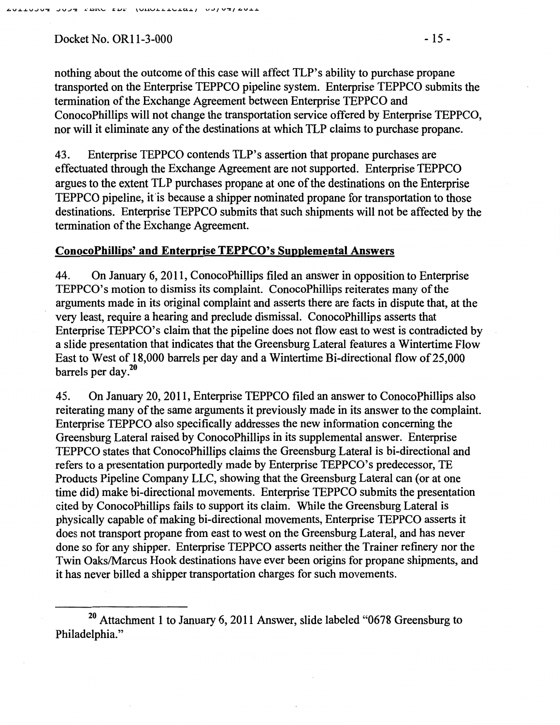### Docket No. OR11-3-000 - 15 -

nothing about the outcome of this case will affect TLP's ability to purchase propane transported on the Enterprise TEPPCO pipeline system. Enterprise TEPPCO submits the termination of the Exchange Agreement between Enterprise TEPPCO and ConocoPhillips will not change the transportation service offered by Enterprise TEPPCO, nor will it eliminate any of the destinations at which TLP claims to purchase propane.

43. Enterprise TEPPCO contends TLP's assertion that propane purchases are effectuated through the Exchange Agreement are not supported. Enterprise TEPPCO argues to the extent TLP purchases propane at one of the destinations on the Enterprise TEPPCO pipeline, it is because a shipper nominated propane for transportation to those destinations. Enterprise TEPPCO submits that such shipments will not be affected by the termination of the Exchange Agreement.

### **ConocoPhillips' and Enterprise TEPPCO's Supplemental Answers**

44. On January 6, 2011, ConocoPhillips filed an answer in opposition to Enterprise TEPPCO's motion to dismiss its complaint. ConocoPhillips reiterates many of the arguments made in its original complaint and asserts there are facts in dispute that, at the very least, require a hearing and preclude dismissal. ConocoPhillips asserts that Enterprise TEPPCO's claim that the pipeline does not flow east to west is contradicted by a slide presentation that indicates that the Greensburg Lateral features a Wintertime Flow East to West of 18,000 barrels per day and a Wintertime Bi-directional flow of25,000 barrels per day. $^{20}$ 

45. On January 20,2011, Enterprise TEPPCO filed an answer to ConocoPhillips also reiterating many of the same arguments it previously made in its answer to the complaint. Enterprise TEPPCO also specifically addresses the new information concerning the Greensburg Lateral raised by ConocoPhillips in its supplemental answer. Enterprise TEPPCO states that ConocoPhillips claims the Greensburg Lateral is bi-directional and refers to a presentation purportedly made by Enterprise TEPPCO's predecessor, TE Products Pipeline Company LLC, showing that the Greensburg Lateral can (or at one time did) make bi-directional movements. Enterprise TEPPCO submits the presentation cited by ConocoPhillips fails to support its claim. While the Greensburg Lateral is physically capable of making bi-directional movements, Enterprise TEPPCO asserts it does not transport propane from east to west on the Greensburg Lateral, and has never done so for any shipper. Enterprise TEPPCO asserts neither the Trainer refinery nor the Twin Oaks/Marcus Hook destinations have ever been origins for propane shipments, and it has never billed a shipper transportation charges for such movements.

<sup>&</sup>lt;sup>20</sup> Attachment 1 to January 6, 2011 Answer, slide labeled "0678 Greensburg to Philadelphia."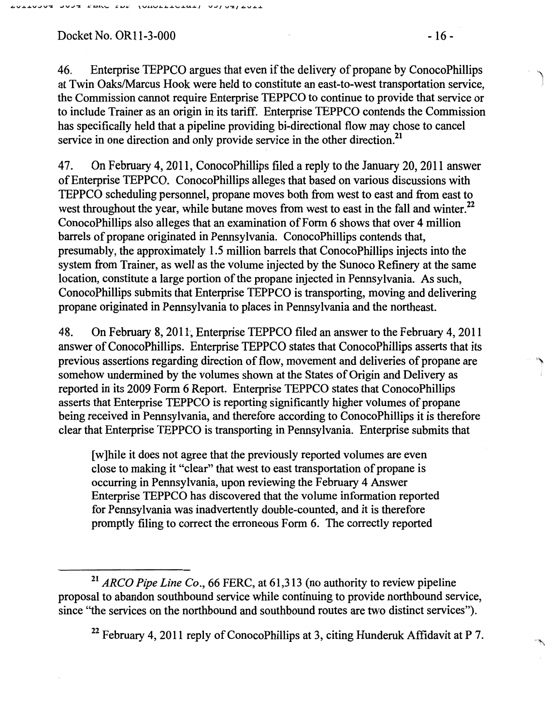Docket No. OR11-3-000 - 16 -

47. On February 4, 2011, ConocoPhillips filed a reply to the January 20, 2011 answer of Enterprise TEPPCO. ConocoPhillips alleges that based on various discussions with TEPPCO scheduling personnel, propane moves both from west to east and from east to west throughout the year, while butane moves from west to east in the fall and winter.<sup>22</sup> ConocoPhillips also alleges that an examination of Form 6 shows that over 4 million barrels of propane originated in Pennsylvania. ConocoPhillips contends that, presumably, the approximately 1.5 million barrels that ConocoPhillips injects into the system from Trainer, as well as the volume injected by the Sunoco Refinery at the same location, constitute a large portion of the propane injected in Pennsylvania. As such, ConocoPhillips submits that Enterprise TEPPCO is transporting, moving and delivering propane originated in Pennsylvania to places in Pennsylvania and the northeast.

48. On February 8, 2011', Enterprise TEPPCO filed an answer to the February 4, 2011 answer of ConocoPhillips. Enterprise TEPPCO states that ConocoPhillips asserts that its previous assertions regarding direction of flow, movement and deliveries of propane are somehow undermined by the volumes shown at the States of Origin and Delivery as reported in its 2009 Form 6 Report. Enterprise TEPPCO states that ConocoPhillips asserts that Enterprise TEPPCO is reporting significantly higher volumes of propane being received in Pennsylvania, and therefore according to ConocoPhillips it is therefore clear that Enterprise TEPPCO is transporting in Pennsylvania. Enterprise submits that

[w] hile it does not agree that the previously reported volumes are even close to making it "clear" that west to east transportation of propane is occurring in Pennsylvania, upon reviewing the February 4 Answer Enterprise TEPPCO has discovered that the volume information reported for Pennsylvania was inadvertently double-counted, and it is therefore promptly filing to correct the erroneous Form 6. The correctly reported

<sup>22</sup> February 4, 2011 reply of ConocoPhillips at 3, citing Hunderuk Affidavit at P 7.

<sup>21</sup>*ARCO Pipe Line Co.,* 66 FERC, at 61,313 (no authority to review pipeline proposal to abandon southbound service while continuing to provide northbound service, since "the services on the northbound and southbound routes are two distinct services").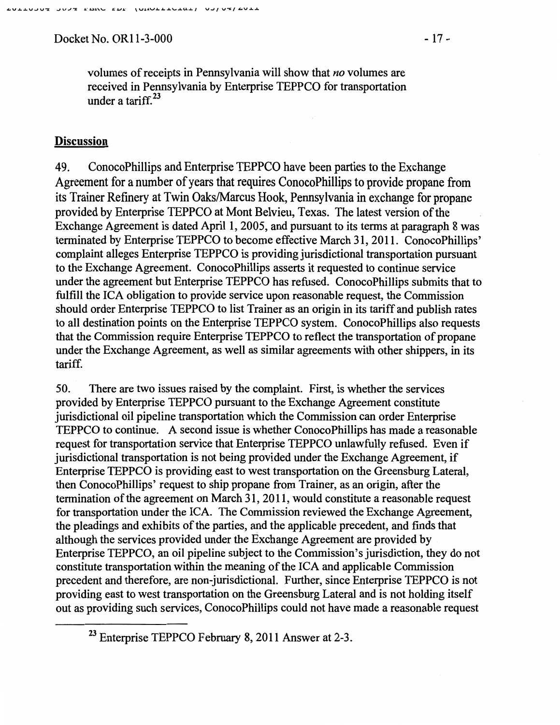Docket No. OR11-3-000 - 17 -

### **Discussion**

49. ConocoPhillips and Enterprise TEPPCO have been parties to the Exchange Agreement for a number of years that requires ConocoPhillips to provide propane from its Trainer Refinery at Twin Oaks/Marcus Hook, Pennsylvania in exchange for propane provided by Enterprise TEPPCO at Mont Belvieu, Texas. The latest version of the Exchange Agreement is dated April I, 2005, and pursuant to its terms at paragraph 8 was terminated by Enterprise TEPPCO to become effective March 31, 2011. ConocoPhillips' complaint alleges Enterprise TEPPCO is providing jurisdictional transportation pursuant to the Exchange Agreement. ConocoPhillips asserts it requested to continue service under the agreement but Enterprise TEPPCO has refused. ConocoPhillips submits that to fulfill the ICA obligation to provide service upon reasonable request, the Commission should order Enterprise TEPPCO to list Trainer as an origin in its tariff and publish rates to all destination points on the Enterprise TEPPCO system. ConocoPhillips also requests that the Commission require Enterprise TEPPCO to reflect the transportation of propane under the Exchange Agreement, as well as similar agreements with other shippers, in its tariff.

50. There are two issues raised by the complaint. First, is whether the services provided by Enterprise TEPPCO pursuant to the Exchange Agreement constitute jurisdictional oil pipeline transportation which the Commission can order Enterprise TEPPCO to continue. A second issue is whether ConocoPhillips has made a reasonable request for transportation service that Enterprise TEPPCO unlawfully refused. Even if jurisdictional transportation is not being provided under the Exchange Agreement, if Enterprise TEPPCO is providing east to west transportation on the Greensburg Lateral, then ConocoPhillips' request to ship propane from Trainer, as an origin, after the termination of the agreement on March 31, 20 11, would constitute a reasonable request for transportation under the ICA. The Commission reviewed the Exchange Agreement, the pleadings and exhibits of the parties, and the applicable precedent, and finds that although the services provided under the Exchange Agreement are provided by Enterprise TEPPCO, an oil pipeline subject to the Commission's jurisdiction, they do not constitute transportation within the meaning of the ICA and applicable Commission precedent and therefore, are non-jurisdictional. Further, since Enterprise TEPPCO is not providing east to west transportation on the Greensburg Lateral and is not holding itself out as providing such services, ConocoPhillips could not have made a reasonable request

<sup>23</sup> Enterprise TEPPCO February 8, 2011 Answer at 2-3.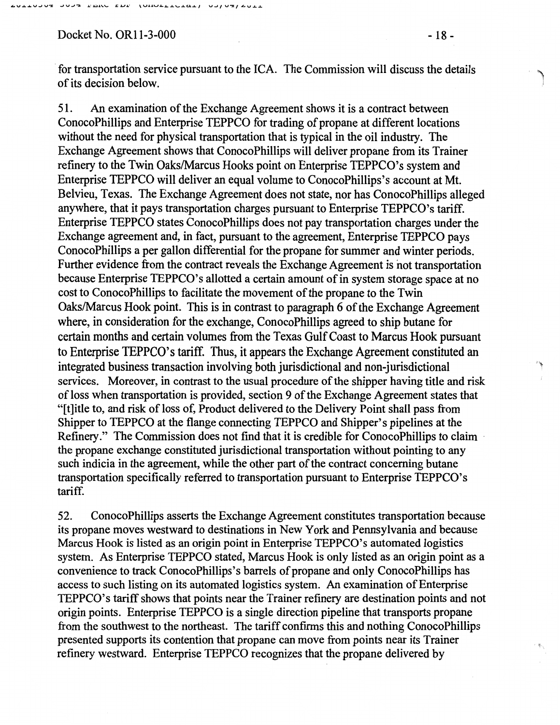Docket No. OR11-3-000 - 18 -

**60110307** 

**SASS LEAGE LEE TOROLLIGE AST SASSED** 

for transportation service pursuant to the ICA. The Commission will discuss the details of its decision below.

51. An examination of the Exchange Agreement shows it is a contract between ConocoPhillips and Enterprise TEPPCO for trading of propane at different locations without the need for physical transportation that is typical in the oil industry. The Exchange Agreement shows that ConocoPhillips will deliver propane from its Trainer refmery to the Twin Oaks/Marcus Hooks point on Enterprise TEPPCO's system and Enterprise TEPPCO will deliver an equal volume to ConocoPhillips's account at Mt. Belvieu, Texas. The Exchange Agreement does not state, nor has ConocoPhillips alleged anywhere, that it pays transportation charges pursuant to Enterprise TEPPCO's tariff. Enterprise TEPPCO states ConocoPhillips does not pay transportation charges under the Exchange agreement and, in fact, pursuant to the agreement, Enterprise TEPPCO pays ConocoPhillips a per gallon differential for the propane for summer and winter periods. Further evidence from the contract reveals the Exchange Agreement is not transportation because Enterprise TEPPCO's allotted a certain amount of in system storage space at no cost to ConocoPhillips to facilitate the movement of the propane to the Twin Oaks/Marcus Hook point. This is in contrast to paragraph 6 of the Exchange Agreement where, in consideration for the exchange, ConocoPhillips agreed to ship butane for certain months and certain volumes from the Texas Gulf Coast to Marcus Hook pursuant to Enterprise TEPPCO's tariff. Thus, it appears the Exchange Agreement constituted an integrated business transaction involving both jurisdictional and non-jurisdictional services. Moreover, in contrast to the usual procedure of the shipper having title and risk of loss when transportation is provided, section 9 of the Exchange Agreement states that "[t]itle to, and risk of loss of, Product delivered to the Delivery Point shall pass from Shipper to TEPPCO at the flange connecting TEPPCO and Shipper's pipelines at the Refinery." The Commission does not find that it is credible for ConocoPhillips to claim the propane exchange constituted jurisdictional transportation without pointing to any such indicia in the agreement, while the other part of the contract concerning butane transportation specifically referred to transportation pursuant to Enterprise TEPPCO's tariff.

52. ConocoPhillips asserts the Exchange Agreement constitutes transportation because its propane moves westward to destinations in New York and Pennsylvania and because Marcus Hook is listed as an origin point in Enterprise TEPPCO's automated logistics system. As Enterprise TEPPCO stated, Marcus Hook is only listed as an origin point as a convenience to track ConocoPhillips's barrels of propane and only ConocoPhillips has access to such listing on its automated logistics system. An examination of Enterprise TEPPCO's tariff shows that points near the Trainer refinery are destination points and not origin points. Enterprise TEPPCO is a single direction pipeline that transports propane from the southwest to the northeast. The tariff confirms this and nothing ConocoPhillips presented supports its contention that propane can move from points near its Trainer refinery westward. Enterprise TEPPCO recognizes that the propane delivered by

 $\P$  ,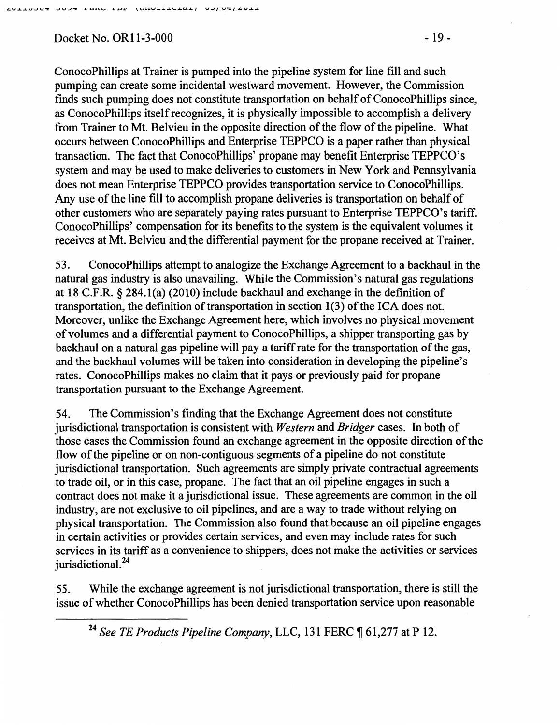## Docket No. OR11-3-000 - 19 -

ConocoPhillips at Trainer is pumped into the pipeline system for line fill and such pumping can create some incidental westward movement. However, the Commission finds such pumping does not constitute transportation on behalf of ConocoPhillips since, as ConocoPhillips itself recognizes, it is physically impossible to accomplish a delivery from Trainer to Mt. Belvieu in the opposite direction of the flow of the pipeline. What occurs between ConocoPhillips and Enterprise TEPPCO is a paper rather than physical transaction. The fact that ConocoPhillips' propane may benefit Enterprise TEPPCO's system and may be used to make deliveries to customers in New York and Pennsylvania does not mean Enterprise TEPPCO provides transportation service to ConocoPhillips. Any use of the line fill to accomplish propane deliveries is transportation on behalf of other customers who are separately paying rates pursuant to Enterprise TEPPCO's tariff. ConocoPhillips' compensation for its benefits to the system is the equivalent volumes it receives at Mt. Belvieu and the differential payment for the propane received at Trainer.

53. ConocoPhillips attempt to analogize the Exchange Agreement to a backhaul in the natural gas industry is also unavailing. While the Commission's natural gas regulations at 18 C.F.R. § 284.1(a) (2010) include backhaul and exchange in the definition of transportation, the defmition of transportation in section 1(3) of the ICA does not. Moreover, unlike the Exchange Agreement here, which involves no physical movement of volumes and a differential payment to ConocoPhillips, a shipper transporting gas by backhaul on a natural gas pipeline will pay a tariff rate for the transportation of the gas, and the backhaul volumes will be taken into consideration in developing the pipeline's rates. ConocoPhillips makes no claim that it pays or previously paid for propane transportation pursuant to the Exchange Agreement.

54. The Commission's finding that the Exchange Agreement does not constitute jurisdictional transportation is consistent with *Western* and *Bridger* cases. In both of those cases the Commission found an exchange agreement in the opposite direction of the flow of the pipeline or on non-contiguous segments of a pipeline do not constitute jurisdictional transportation. Such agreements are simply private contractual agreements to trade oil, or in this case, propane. The fact that an oil pipeline engages in such a contract does not make it a jurisdictional issue. These agreements are common in the oil industry, are not exclusive to oil pipelines, and are a way to trade without relying on physical transportation. The Commission also found that because an oil pipeline engages in certain activities or provides certain services, and even may include rates for such services in its tariff as a convenience to shippers, does not make the activities or services jurisdictional.<sup>24</sup>

55. While the exchange agreement is not jurisdictional transportation, there is still the issue of whether ConocoPhillips has been denied transportation service upon reasonable

<sup>&</sup>lt;sup>24</sup> See TE Products Pipeline Company, LLC, 131 FERC ¶ 61,277 at P 12.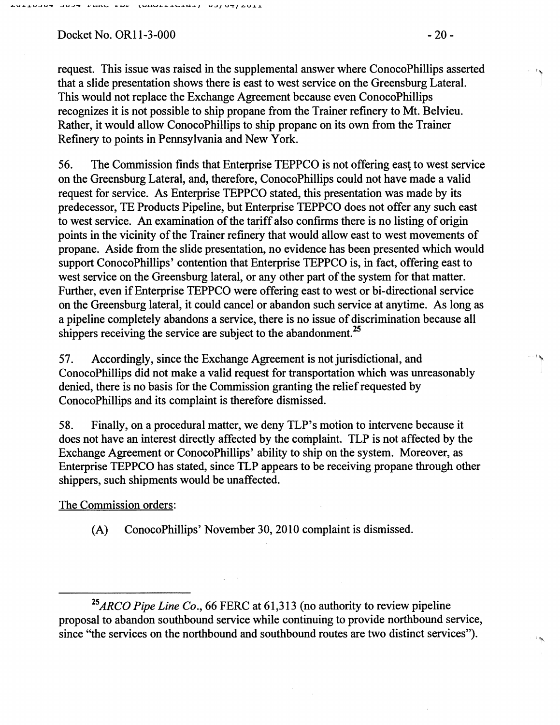Docket No. OR11-3-000 - 20 -

"]

 $\mathbf{R}$ .I

 $\overline{\phantom{a}}$ 

request. This issue was raised in the supplemental answer where ConocoPhillips asserted that a slide presentation shows there is east to west service on the Greensburg Lateral. This would not replace the Exchange Agreement because even ConocoPhillips recognizes it is not possible to ship propane from the Trainer refinery to Mt. Belvieu. Rather, it would allow ConocoPhillips to ship propane on its own from the Trainer Refinery to points in Pennsylvania and New York.

56. The Commission fmds that Enterprise TEPPCO is not offering east to west service on the Greensburg Lateral, and, therefore, ConocoPhillips could not have made a valid request for service. As Enterprise TEPPCO stated, this presentation was made by its predecessor, TE Products Pipeline, but Enterprise TEPPCO does not offer any such east to west service. An examination of the tariff also confirms there is no listing of origin points in the vicinity of the Trainer refinery that would allow east to west movements of propane. Aside from the slide presentation, no evidence has been presented which would support ConocoPhillips' contention that Enterprise TEPPCO is, in fact, offering east to west service on the Greensburg lateral, or any other part of the system for that matter. Further, even if Enterprise TEPPCO were offering east to west or bi-directional service on the Greensburg lateral, it could cancel or abandon such service at anytime. As long as a pipeline completely abandons a service, there is no issue of discrimination because all shippers receiving the service are subject to the abandonment.<sup>25</sup>

57. Accordingly, since the Exchange Agreement is not jurisdictional, and ConocoPhillips did not make a valid request for transportation which was unreasonably denied, there is no basis for the Commission granting the relief requested by ConocoPhillips and its complaint is therefore dismissed.

58. Finally, on a procedural matter, we deny TLP's motion to intervene because it does not have an interest directly affected by the complaint. TLP is not affected by the Exchange Agreement or ConocoPhillips' ability to ship on the system. Moreover, as Enterprise TEPPCO has stated, since TLP appears to be receiving propane through other shippers, such shipments would be unaffected.

The Commission orders:

(A) ConocoPhillips' November 30,2010 complaint is dismissed.

*<sup>25</sup>ARCO Pipe Line Co.,* 66 FERC at 61,313 (no authority to review pipeline proposal to abandon southbound service while continuing to provide northbound service, since ''the services on the northbound and southbound routes are two distinct services").